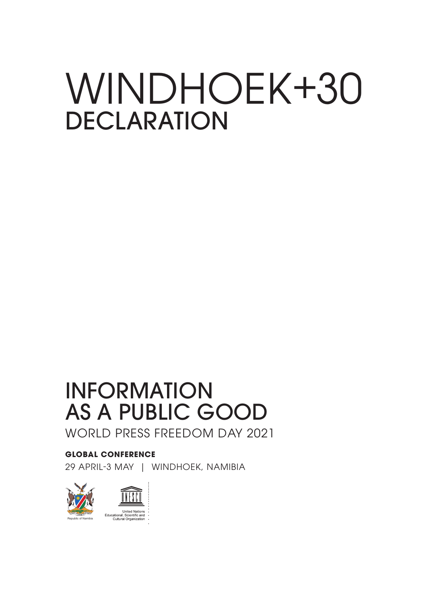## WINDHOEK+30 DECLARATION

## INFORMATION AS A PUBLIC GOOD

WORLD PRESS FREEDOM DAY 2021

## **GLOBAL CONFERENCE**

29 APRIL-3 MAY | WINDHOEK, NAMIBIA

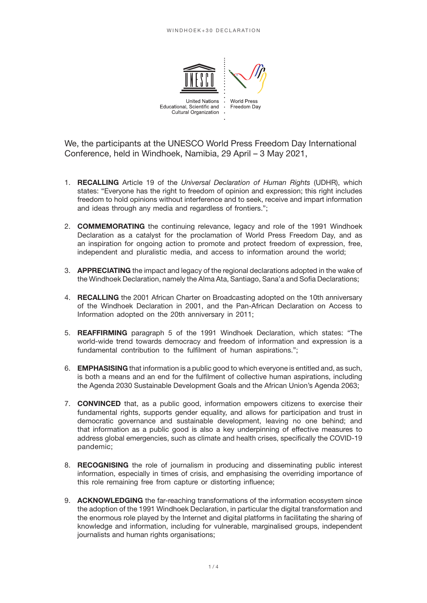

We, the participants at the UNESCO World Press Freedom Day International Conference, held in Windhoek, Namibia, 29 April – 3 May 2021,

- 1. RECALLING Article 19 of the *Universal Declaration of Human Rights* (UDHR), which states: "Everyone has the right to freedom of opinion and expression; this right includes freedom to hold opinions without interference and to seek, receive and impart information and ideas through any media and regardless of frontiers.";
- 2. **COMMEMORATING** the continuing relevance, legacy and role of the 1991 Windhoek Declaration as a catalyst for the proclamation of World Press Freedom Day, and as an inspiration for ongoing action to promote and protect freedom of expression, free, independent and pluralistic media, and access to information around the world;
- 3. APPRECIATING the impact and legacy of the regional declarations adopted in the wake of the Windhoek Declaration, namely the Alma Ata, Santiago, Sana'a and Sofia Declarations;
- 4. RECALLING the 2001 African Charter on Broadcasting adopted on the 10th anniversary of the Windhoek Declaration in 2001, and the Pan-African Declaration on Access to Information adopted on the 20th anniversary in 2011;
- 5. REAFFIRMING paragraph 5 of the 1991 Windhoek Declaration, which states: "The world-wide trend towards democracy and freedom of information and expression is a fundamental contribution to the fulfilment of human aspirations.";
- 6. EMPHASISING that information is a public good to which everyone is entitled and, as such, is both a means and an end for the fulfilment of collective human aspirations, including the Agenda 2030 Sustainable Development Goals and the African Union's Agenda 2063;
- 7. CONVINCED that, as a public good, information empowers citizens to exercise their fundamental rights, supports gender equality, and allows for participation and trust in democratic governance and sustainable development, leaving no one behind; and that information as a public good is also a key underpinning of effective measures to address global emergencies, such as climate and health crises, specifically the COVID-19 pandemic;
- 8. RECOGNISING the role of journalism in producing and disseminating public interest information, especially in times of crisis, and emphasising the overriding importance of this role remaining free from capture or distorting influence;
- 9. ACKNOWLEDGING the far-reaching transformations of the information ecosystem since the adoption of the 1991 Windhoek Declaration, in particular the digital transformation and the enormous role played by the Internet and digital platforms in facilitating the sharing of knowledge and information, including for vulnerable, marginalised groups, independent journalists and human rights organisations;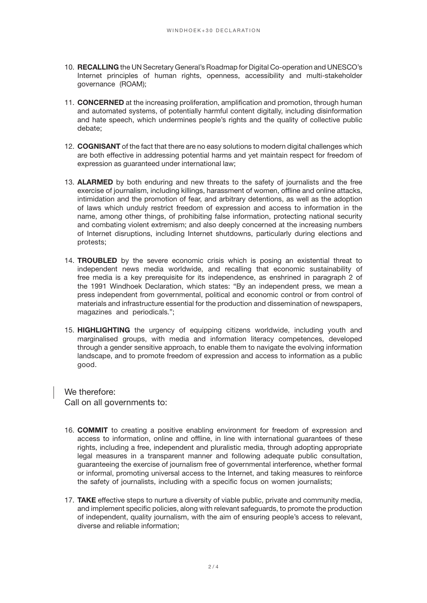- 10. RECALLING the UN Secretary General's Roadmap for Digital Co-operation and UNESCO's Internet principles of human rights, openness, accessibility and multi-stakeholder governance (ROAM);
- 11. CONCERNED at the increasing proliferation, amplification and promotion, through human and automated systems, of potentially harmful content digitally, including disinformation and hate speech, which undermines people's rights and the quality of collective public debate;
- 12. **COGNISANT** of the fact that there are no easy solutions to modern digital challenges which are both effective in addressing potential harms and yet maintain respect for freedom of expression as guaranteed under international law;
- 13. ALARMED by both enduring and new threats to the safety of journalists and the free exercise of journalism, including killings, harassment of women, offline and online attacks, intimidation and the promotion of fear, and arbitrary detentions, as well as the adoption of laws which unduly restrict freedom of expression and access to information in the name, among other things, of prohibiting false information, protecting national security and combating violent extremism; and also deeply concerned at the increasing numbers of Internet disruptions, including Internet shutdowns, particularly during elections and protests;
- 14. TROUBLED by the severe economic crisis which is posing an existential threat to independent news media worldwide, and recalling that economic sustainability of free media is a key prerequisite for its independence, as enshrined in paragraph 2 of the 1991 Windhoek Declaration, which states: "By an independent press, we mean a press independent from governmental, political and economic control or from control of materials and infrastructure essential for the production and dissemination of newspapers, magazines and periodicals.";
- 15. HIGHLIGHTING the urgency of equipping citizens worldwide, including youth and marginalised groups, with media and information literacy competences, developed through a gender sensitive approach, to enable them to navigate the evolving information landscape, and to promote freedom of expression and access to information as a public good.

We therefore: Call on all governments to:

- 16. COMMIT to creating a positive enabling environment for freedom of expression and access to information, online and offline, in line with international guarantees of these rights, including a free, independent and pluralistic media, through adopting appropriate legal measures in a transparent manner and following adequate public consultation, guaranteeing the exercise of journalism free of governmental interference, whether formal or informal, promoting universal access to the Internet, and taking measures to reinforce the safety of journalists, including with a specific focus on women journalists;
- 17. TAKE effective steps to nurture a diversity of viable public, private and community media, and implement specific policies, along with relevant safeguards, to promote the production of independent, quality journalism, with the aim of ensuring people's access to relevant, diverse and reliable information;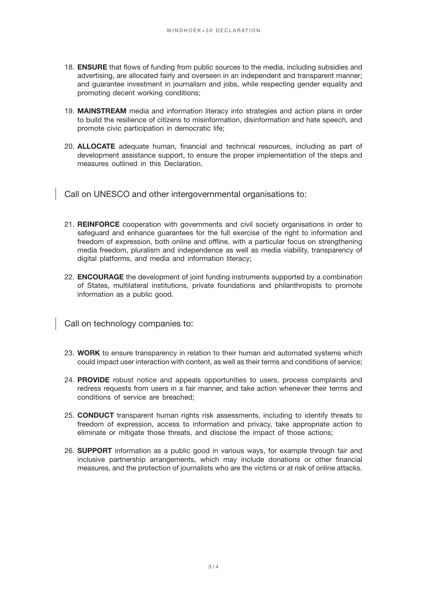- 18. **ENSURE** that flows of funding from public sources to the media, including subsidies and advertising, are allocated fairly and overseen in an independent and transparent manner; and guarantee investment in journalism and jobs, while respecting gender equality and promoting decent working conditions;
- 19. MAINSTREAM media and information literacy into strategies and action plans in order to build the resilience of citizens to misinformation, disinformation and hate speech, and promote civic participation in democratic life;
- 20. ALLOCATE adequate human, financial and technical resources, including as part of development assistance support, to ensure the proper implementation of the steps and measures outlined in this Declaration.

Call on UNESCO and other intergovernmental organisations to:

- 21. REINFORCE cooperation with governments and civil society organisations in order to safeguard and enhance guarantees for the full exercise of the right to information and freedom of expression, both online and offline, with a particular focus on strengthening media freedom, pluralism and independence as well as media viability, transparency of digital platforms, and media and information literacy;
- 22. ENCOURAGE the development of joint funding instruments supported by a combination of States, multilateral institutions, private foundations and philanthropists to promote information as a public good.

Call on technology companies to:

- 23. WORK to ensure transparency in relation to their human and automated systems which could impact user interaction with content, as well as their terms and conditions of service;
- 24. PROVIDE robust notice and appeals opportunities to users, process complaints and redress requests from users in a fair manner, and take action whenever their terms and conditions of service are breached;
- 25. CONDUCT transparent human rights risk assessments, including to identify threats to freedom of expression, access to information and privacy, take appropriate action to eliminate or mitigate those threats, and disclose the impact of those actions;
- 26. SUPPORT information as a public good in various ways, for example through fair and inclusive partnership arrangements, which may include donations or other financial measures, and the protection of journalists who are the victims or at risk of online attacks.